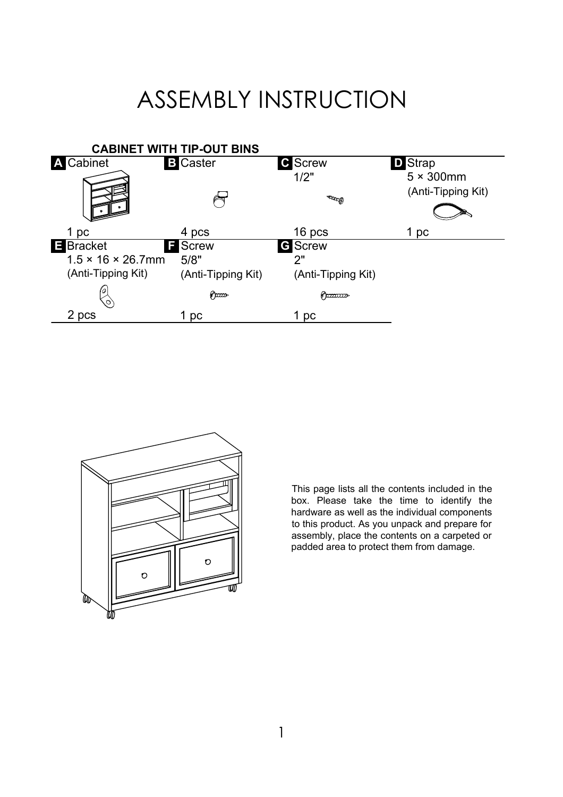## ASSEMBLY INSTRUCTION





This page lists all the contents included in the box. Please take the time to identify the hardware as well as the individual components to this product. As you unpack and prepare for assembly, place the contents on a carpeted or padded area to protect them from damage.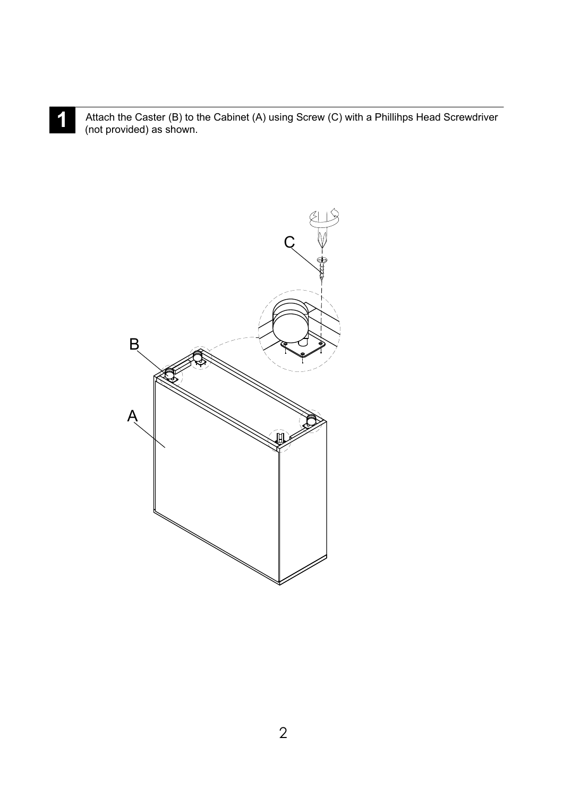Attach the Caster (B) to the Cabinet (A) using Screw (C) with a Phillihps Head Screwdriver<br>(not provided) as shown (not provided) as shown.